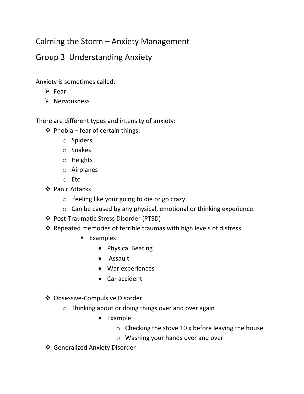## Calming the Storm – Anxiety Management

## Group 3 Understanding Anxiety

Anxiety is sometimes called:

- ➢ Fear
- ➢ Nervousness

There are different types and intensity of anxiety:

- ❖ Phobia fear of certain things:
	- o Spiders
	- o Snakes
	- o Heights
	- o Airplanes
	- o Etc.
- ❖ Panic Attacks
	- o feeling like your going to die or go crazy
	- o Can be caused by any physical, emotional or thinking experience.
- ❖ Post-Traumatic Stress Disorder (PTSD)
- ❖ Repeated memories of terrible traumas with high levels of distress.
	- Examples:
		- Physical Beating
		- Assault
		- War experiences
		- Car accident
- ❖ Obsessive-Compulsive Disorder
	- o Thinking about or doing things over and over again
		- Example:
			- $\circ$  Checking the stove 10 x before leaving the house
			- o Washing your hands over and over
- ❖ Generalized Anxiety Disorder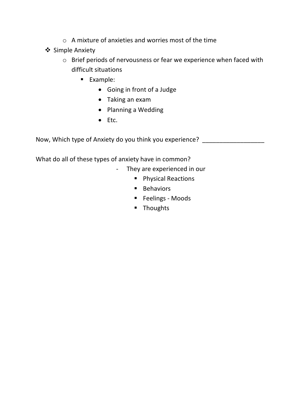- o A mixture of anxieties and worries most of the time
- ❖ Simple Anxiety
	- o Brief periods of nervousness or fear we experience when faced with difficult situations
		- Example:
			- Going in front of a Judge
			- Taking an exam
			- Planning a Wedding
			- Etc.

Now, Which type of Anxiety do you think you experience?

What do all of these types of anxiety have in common?

- They are experienced in our
	- Physical Reactions
	- Behaviors
	- Feelings Moods
	- Thoughts